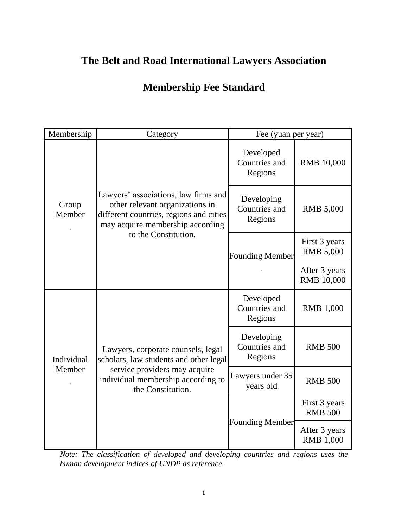## **The Belt and Road International Lawyers Association**

## **Membership Fee Standard**

| Membership           | Category                                                                                                                                                                       | Fee (yuan per year)                    |                                    |
|----------------------|--------------------------------------------------------------------------------------------------------------------------------------------------------------------------------|----------------------------------------|------------------------------------|
| Group<br>Member      | Lawyers' associations, law firms and<br>other relevant organizations in<br>different countries, regions and cities<br>may acquire membership according<br>to the Constitution. | Developed<br>Countries and<br>Regions  | <b>RMB</b> 10,000                  |
|                      |                                                                                                                                                                                | Developing<br>Countries and<br>Regions | <b>RMB 5,000</b>                   |
|                      |                                                                                                                                                                                | <b>Founding Member</b>                 | First 3 years<br><b>RMB 5,000</b>  |
|                      |                                                                                                                                                                                |                                        | After 3 years<br><b>RMB</b> 10,000 |
| Individual<br>Member | Lawyers, corporate counsels, legal<br>scholars, law students and other legal<br>service providers may acquire<br>individual membership according to<br>the Constitution.       | Developed<br>Countries and<br>Regions  | <b>RMB</b> 1,000                   |
|                      |                                                                                                                                                                                | Developing<br>Countries and<br>Regions | <b>RMB 500</b>                     |
|                      |                                                                                                                                                                                | Lawyers under 35<br>years old          | <b>RMB 500</b>                     |
|                      |                                                                                                                                                                                | <b>Founding Member</b>                 | First 3 years<br><b>RMB 500</b>    |
|                      |                                                                                                                                                                                |                                        | After 3 years<br><b>RMB 1,000</b>  |

*Note: The classification of developed and developing countries and regions uses the human development indices of UNDP as reference.*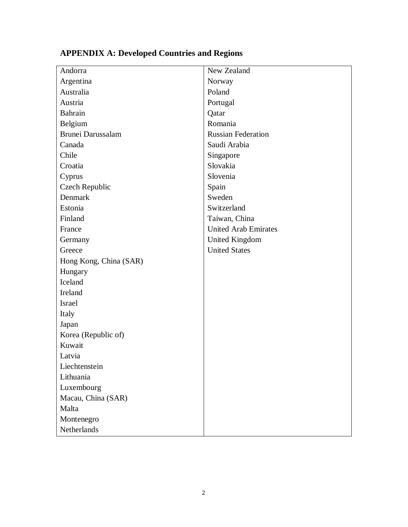| Andorra                | New Zealand                 |
|------------------------|-----------------------------|
| Argentina              | Norway                      |
| Australia              | Poland                      |
| Austria                | Portugal                    |
| Bahrain                | Qatar                       |
| Belgium                | Romania                     |
| Brunei Darussalam      | <b>Russian Federation</b>   |
| Canada                 | Saudi Arabia                |
| Chile                  | Singapore                   |
| Croatia                | Slovakia                    |
| Cyprus                 | Slovenia                    |
| Czech Republic         | Spain                       |
| Denmark                | Sweden                      |
| Estonia                | Switzerland                 |
| Finland                | Taiwan, China               |
| France                 | <b>United Arab Emirates</b> |
| Germany                | <b>United Kingdom</b>       |
| Greece                 | <b>United States</b>        |
| Hong Kong, China (SAR) |                             |
| Hungary                |                             |
| Iceland                |                             |
| Ireland                |                             |
| Israel                 |                             |
| Italy                  |                             |
| Japan                  |                             |
| Korea (Republic of)    |                             |
| Kuwait                 |                             |
| Latvia                 |                             |
| Liechtenstein          |                             |
| Lithuania              |                             |
| Luxembourg             |                             |
| Macau, China (SAR)     |                             |
| Malta                  |                             |
| Montenegro             |                             |
| Netherlands            |                             |

## **APPENDIX A: Developed Countries and Regions**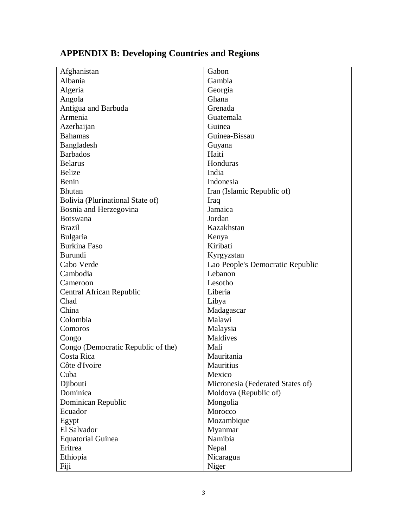| Afghanistan                        | Gabon                            |
|------------------------------------|----------------------------------|
| Albania                            | Gambia                           |
| Algeria                            | Georgia                          |
| Angola                             | Ghana                            |
| Antigua and Barbuda                | Grenada                          |
| Armenia                            | Guatemala                        |
| Azerbaijan                         | Guinea                           |
| <b>Bahamas</b>                     | Guinea-Bissau                    |
| Bangladesh                         | Guyana                           |
| <b>Barbados</b>                    | Haiti                            |
| <b>Belarus</b>                     | Honduras                         |
| <b>Belize</b>                      | India                            |
| Benin                              | Indonesia                        |
| <b>Bhutan</b>                      | Iran (Islamic Republic of)       |
| Bolivia (Plurinational State of)   | Iraq                             |
| Bosnia and Herzegovina             | Jamaica                          |
| <b>Botswana</b>                    | Jordan                           |
| <b>Brazil</b>                      | Kazakhstan                       |
| Bulgaria                           | Kenya                            |
| <b>Burkina Faso</b>                | Kiribati                         |
| <b>Burundi</b>                     | Kyrgyzstan                       |
| Cabo Verde                         | Lao People's Democratic Republic |
| Cambodia                           | Lebanon                          |
| Cameroon                           | Lesotho                          |
| Central African Republic           | Liberia                          |
| Chad                               | Libya                            |
| China                              | Madagascar                       |
| Colombia                           | Malawi                           |
| Comoros                            | Malaysia                         |
| Congo                              | Maldives                         |
| Congo (Democratic Republic of the) | Mali                             |
| Costa Rica                         | Mauritania                       |
| Côte d'Ivoire                      | <b>Mauritius</b>                 |
| Cuba                               | Mexico                           |
| Djibouti                           | Micronesia (Federated States of) |
| Dominica                           | Moldova (Republic of)            |
| Dominican Republic                 | Mongolia                         |
| Ecuador                            | Morocco                          |
| Egypt                              | Mozambique                       |
| El Salvador                        | Myanmar                          |
| <b>Equatorial Guinea</b>           | Namibia                          |
| Eritrea                            | Nepal                            |
| Ethiopia                           | Nicaragua                        |
| Fiji                               | Niger                            |

## **APPENDIX B: Developing Countries and Regions**